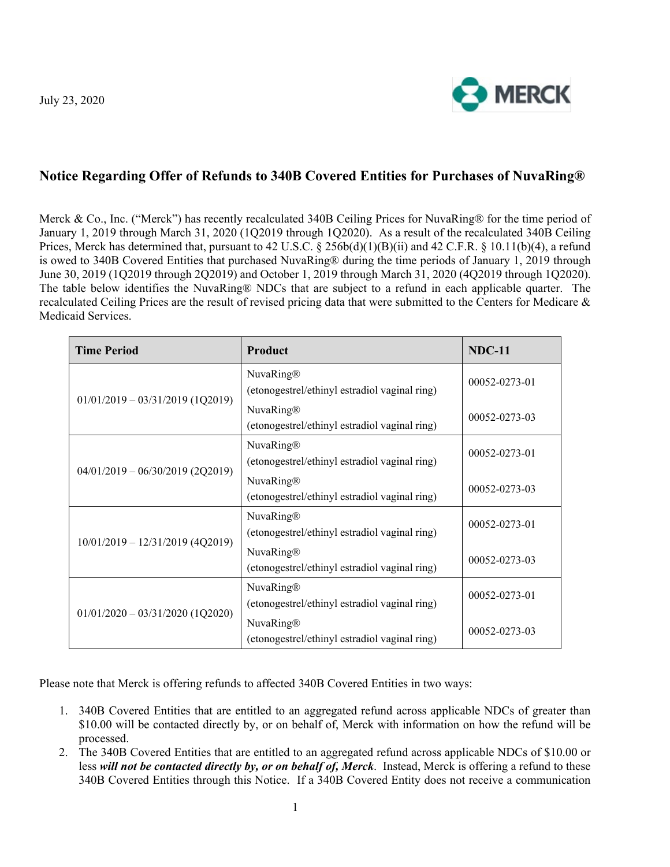

## **Notice Regarding Offer of Refunds to 340B Covered Entities for Purchases of NuvaRing®**

Merck & Co., Inc. ("Merck") has recently recalculated 340B Ceiling Prices for NuvaRing® for the time period of January 1, 2019 through March 31, 2020 (1Q2019 through 1Q2020). As a result of the recalculated 340B Ceiling Prices, Merck has determined that, pursuant to 42 U.S.C. § 256b(d)(1)(B)(ii) and 42 C.F.R. § 10.11(b)(4), a refund is owed to 340B Covered Entities that purchased NuvaRing® during the time periods of January 1, 2019 through June 30, 2019 (1Q2019 through 2Q2019) and October 1, 2019 through March 31, 2020 (4Q2019 through 1Q2020). The table below identifies the NuvaRing® NDCs that are subject to a refund in each applicable quarter. The recalculated Ceiling Prices are the result of revised pricing data that were submitted to the Centers for Medicare & Medicaid Services.

| <b>Time Period</b>                 | Product                                                    | <b>NDC-11</b> |
|------------------------------------|------------------------------------------------------------|---------------|
| $01/01/2019 - 03/31/2019$ (1Q2019) | NuvaRing®<br>(etonogestrel/ethinyl estradiol vaginal ring) | 00052-0273-01 |
|                                    | NuvaRing®<br>(etonogestrel/ethinyl estradiol vaginal ring) | 00052-0273-03 |
| $04/01/2019 - 06/30/2019$ (2Q2019) | NuvaRing®<br>(etonogestrel/ethinyl estradiol vaginal ring) | 00052-0273-01 |
|                                    | NuvaRing®<br>(etonogestrel/ethinyl estradiol vaginal ring) | 00052-0273-03 |
| $10/01/2019 - 12/31/2019$ (4Q2019) | NuvaRing®<br>(etonogestrel/ethinyl estradiol vaginal ring) | 00052-0273-01 |
|                                    | NuvaRing®<br>(etonogestrel/ethinyl estradiol vaginal ring) | 00052-0273-03 |
| $01/01/2020 - 03/31/2020$ (1Q2020) | NuvaRing®<br>(etonogestrel/ethinyl estradiol vaginal ring) | 00052-0273-01 |
|                                    | NuvaRing®<br>(etonogestrel/ethinyl estradiol vaginal ring) | 00052-0273-03 |

Please note that Merck is offering refunds to affected 340B Covered Entities in two ways:

- 1. 340B Covered Entities that are entitled to an aggregated refund across applicable NDCs of greater than \$10.00 will be contacted directly by, or on behalf of, Merck with information on how the refund will be processed.
- 2. The 340B Covered Entities that are entitled to an aggregated refund across applicable NDCs of \$10.00 or less *will not be contacted directly by, or on behalf of, Merck*. Instead, Merck is offering a refund to these 340B Covered Entities through this Notice. If a 340B Covered Entity does not receive a communication